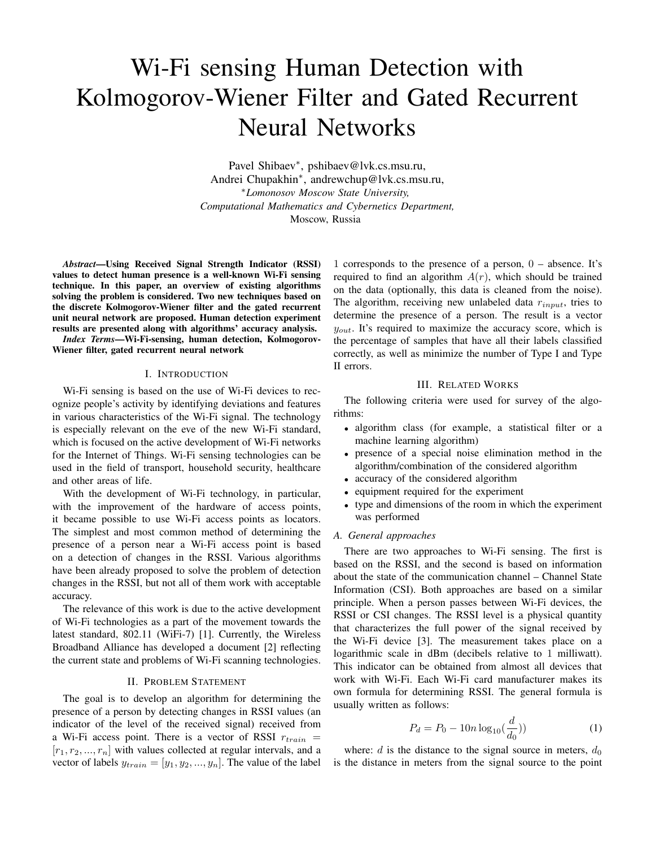# Wi-Fi sensing Human Detection with Kolmogorov-Wiener Filter and Gated Recurrent Neural Networks

Pavel Shibaev<sup>∗</sup> , pshibaev@lvk.cs.msu.ru, Andrei Chupakhin<sup>∗</sup> , andrewchup@lvk.cs.msu.ru, <sup>∗</sup>*Lomonosov Moscow State University, Computational Mathematics and Cybernetics Department,* Moscow, Russia

*Abstract*—Using Received Signal Strength Indicator (RSSI) values to detect human presence is a well-known Wi-Fi sensing technique. In this paper, an overview of existing algorithms solving the problem is considered. Two new techniques based on the discrete Kolmogorov-Wiener filter and the gated recurrent unit neural network are proposed. Human detection experiment results are presented along with algorithms' accuracy analysis.

*Index Terms*—Wi-Fi-sensing, human detection, Kolmogorov-Wiener filter, gated recurrent neural network

## I. INTRODUCTION

Wi-Fi sensing is based on the use of Wi-Fi devices to recognize people's activity by identifying deviations and features in various characteristics of the Wi-Fi signal. The technology is especially relevant on the eve of the new Wi-Fi standard, which is focused on the active development of Wi-Fi networks for the Internet of Things. Wi-Fi sensing technologies can be used in the field of transport, household security, healthcare and other areas of life.

With the development of Wi-Fi technology, in particular, with the improvement of the hardware of access points, it became possible to use Wi-Fi access points as locators. The simplest and most common method of determining the presence of a person near a Wi-Fi access point is based on a detection of changes in the RSSI. Various algorithms have been already proposed to solve the problem of detection changes in the RSSI, but not all of them work with acceptable accuracy.

The relevance of this work is due to the active development of Wi-Fi technologies as a part of the movement towards the latest standard, 802.11 (WiFi-7) [1]. Currently, the Wireless Broadband Alliance has developed a document [2] reflecting the current state and problems of Wi-Fi scanning technologies.

#### II. PROBLEM STATEMENT

The goal is to develop an algorithm for determining the presence of a person by detecting changes in RSSI values (an indicator of the level of the received signal) received from a Wi-Fi access point. There is a vector of RSSI  $r_{train}$  =  $[r_1, r_2, ..., r_n]$  with values collected at regular intervals, and a vector of labels  $y_{train} = [y_1, y_2, ..., y_n]$ . The value of the label

1 corresponds to the presence of a person, 0 – absence. It's required to find an algorithm  $A(r)$ , which should be trained on the data (optionally, this data is cleaned from the noise). The algorithm, receiving new unlabeled data  $r_{input}$ , tries to determine the presence of a person. The result is a vector  $y_{out}$ . It's required to maximize the accuracy score, which is the percentage of samples that have all their labels classified correctly, as well as minimize the number of Type I and Type II errors.

## III. RELATED WORKS

The following criteria were used for survey of the algorithms:

- algorithm class (for example, a statistical filter or a machine learning algorithm)
- presence of a special noise elimination method in the algorithm/combination of the considered algorithm
- accuracy of the considered algorithm
- equipment required for the experiment
- type and dimensions of the room in which the experiment was performed

#### *A. General approaches*

There are two approaches to Wi-Fi sensing. The first is based on the RSSI, and the second is based on information about the state of the communication channel – Channel State Information (CSI). Both approaches are based on a similar principle. When a person passes between Wi-Fi devices, the RSSI or CSI changes. The RSSI level is a physical quantity that characterizes the full power of the signal received by the Wi-Fi device [3]. The measurement takes place on a logarithmic scale in dBm (decibels relative to 1 milliwatt). This indicator can be obtained from almost all devices that work with Wi-Fi. Each Wi-Fi card manufacturer makes its own formula for determining RSSI. The general formula is usually written as follows:

$$
P_d = P_0 - 10n \log_{10}(\frac{d}{d_0}))
$$
 (1)

where:  $d$  is the distance to the signal source in meters,  $d_0$ is the distance in meters from the signal source to the point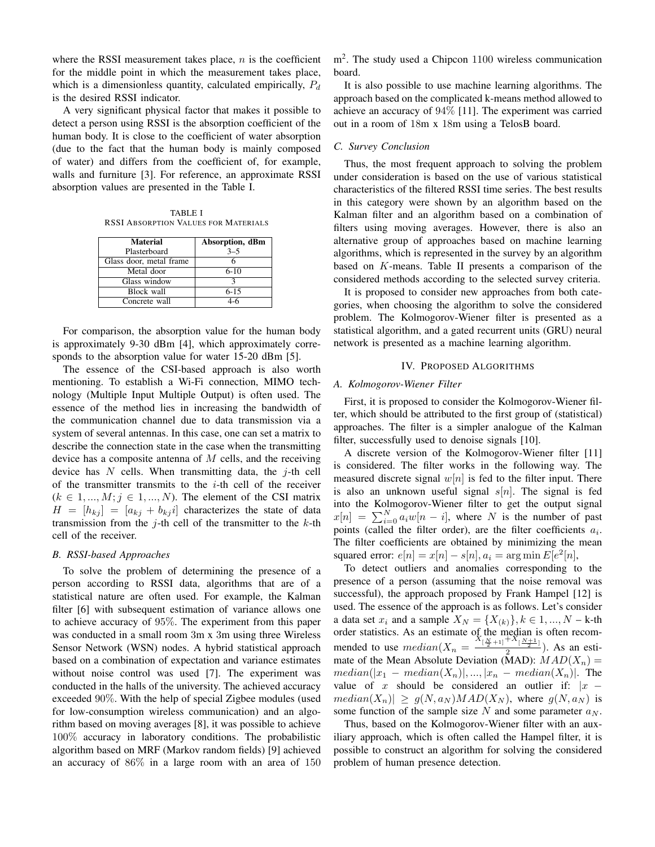where the RSSI measurement takes place,  $n$  is the coefficient for the middle point in which the measurement takes place, which is a dimensionless quantity, calculated empirically,  $P_d$ is the desired RSSI indicator.

A very significant physical factor that makes it possible to detect a person using RSSI is the absorption coefficient of the human body. It is close to the coefficient of water absorption (due to the fact that the human body is mainly composed of water) and differs from the coefficient of, for example, walls and furniture [3]. For reference, an approximate RSSI absorption values are presented in the Table I.

TABLE I RSSI ABSORPTION VALUES FOR MATERIALS

| <b>Material</b>         | Absorption, dBm |
|-------------------------|-----------------|
| Plasterboard            | $3 - 5$         |
| Glass door, metal frame |                 |
| Metal door              | $6-10$          |
| Glass window            | 2               |
| Block wall              | $6 - 15$        |
| Concrete wall           | 4-6             |

For comparison, the absorption value for the human body is approximately 9-30 dBm [4], which approximately corresponds to the absorption value for water 15-20 dBm [5].

The essence of the CSI-based approach is also worth mentioning. To establish a Wi-Fi connection, MIMO technology (Multiple Input Multiple Output) is often used. The essence of the method lies in increasing the bandwidth of the communication channel due to data transmission via a system of several antennas. In this case, one can set a matrix to describe the connection state in the case when the transmitting device has a composite antenna of  $M$  cells, and the receiving device has  $N$  cells. When transmitting data, the  $j$ -th cell of the transmitter transmits to the  $i$ -th cell of the receiver  $(k \in 1, ..., M; j \in 1, ..., N)$ . The element of the CSI matrix  $H = [h_{kj}] = [a_{kj} + b_{kj} i]$  characterizes the state of data transmission from the  $j$ -th cell of the transmitter to the  $k$ -th cell of the receiver.

#### *B. RSSI-based Approaches*

To solve the problem of determining the presence of a person according to RSSI data, algorithms that are of a statistical nature are often used. For example, the Kalman filter [6] with subsequent estimation of variance allows one to achieve accuracy of 95%. The experiment from this paper was conducted in a small room 3m x 3m using three Wireless Sensor Network (WSN) nodes. A hybrid statistical approach based on a combination of expectation and variance estimates without noise control was used [7]. The experiment was conducted in the halls of the university. The achieved accuracy exceeded 90%. With the help of special Zigbee modules (used for low-consumption wireless communication) and an algorithm based on moving averages [8], it was possible to achieve 100% accuracy in laboratory conditions. The probabilistic algorithm based on MRF (Markov random fields) [9] achieved an accuracy of 86% in a large room with an area of 150

m<sup>2</sup>. The study used a Chipcon 1100 wireless communication board.

It is also possible to use machine learning algorithms. The approach based on the complicated k-means method allowed to achieve an accuracy of 94% [11]. The experiment was carried out in a room of 18m x 18m using a TelosB board.

## *C. Survey Conclusion*

Thus, the most frequent approach to solving the problem under consideration is based on the use of various statistical characteristics of the filtered RSSI time series. The best results in this category were shown by an algorithm based on the Kalman filter and an algorithm based on a combination of filters using moving averages. However, there is also an alternative group of approaches based on machine learning algorithms, which is represented in the survey by an algorithm based on K-means. Table II presents a comparison of the considered methods according to the selected survey criteria.

It is proposed to consider new approaches from both categories, when choosing the algorithm to solve the considered problem. The Kolmogorov-Wiener filter is presented as a statistical algorithm, and a gated recurrent units (GRU) neural network is presented as a machine learning algorithm.

#### IV. PROPOSED ALGORITHMS

## *A. Kolmogorov-Wiener Filter*

First, it is proposed to consider the Kolmogorov-Wiener filter, which should be attributed to the first group of (statistical) approaches. The filter is a simpler analogue of the Kalman filter, successfully used to denoise signals [10].

A discrete version of the Kolmogorov-Wiener filter [11] is considered. The filter works in the following way. The measured discrete signal  $w[n]$  is fed to the filter input. There is also an unknown useful signal  $s[n]$ . The signal is fed into the Kolmogorov-Wiener filter to get the output signal  $x[n] = \sum_{i=0}^{N} a_i w[n-i]$ , where N is the number of past points (called the filter order), are the filter coefficients  $a_i$ . The filter coefficients are obtained by minimizing the mean squared error:  $e[n] = x[n] - s[n], a_i = \arg \min E[e^2[n],$ 

To detect outliers and anomalies corresponding to the presence of a person (assuming that the noise removal was successful), the approach proposed by Frank Hampel [12] is used. The essence of the approach is as follows. Let's consider a data set  $x_i$  and a sample  $X_N = \{X_{(k)}\}, k \in 1, ..., N - k$ -th order statistics. As an estimate of the median is often recommended to use  $median(X_n = \frac{X_{\lfloor \frac{N}{2}+1 \rfloor}+X_{\lfloor \frac{N+1}{2} \rfloor}}{2})$ . As an estimate of the Mean Absolute Deviation (MAD):  $MAD(X_n) =$  $median(|x_1 - median(X_n)|, ..., |x_n - median(X_n)|)$ . The value of x should be considered an outlier if:  $|x$  $median(X_n)| \geq g(N, a_N) MAD(X_N)$ , where  $g(N, a_N)$  is some function of the sample size N and some parameter  $a_N$ .

Thus, based on the Kolmogorov-Wiener filter with an auxiliary approach, which is often called the Hampel filter, it is possible to construct an algorithm for solving the considered problem of human presence detection.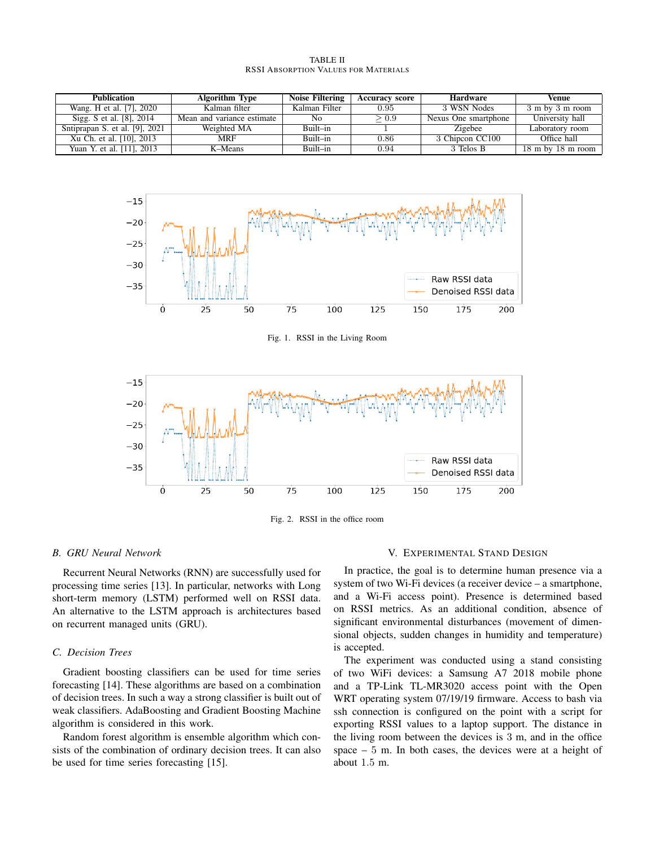| Publication                    | <b>Algorithm Type</b>      | Noise Filtering | <b>Accuracy score</b> | <b>Hardware</b>      | Venue                                 |
|--------------------------------|----------------------------|-----------------|-----------------------|----------------------|---------------------------------------|
| Wang. H et al. [7], 2020       | Kalman filter              | Kalman Filter   | 0.95                  | 3 WSN Nodes          | 3 m by 3 m room                       |
| Sigg. S et al. [8], 2014       | Mean and variance estimate | No              | > 0.9                 | Nexus One smartphone | University hall                       |
| Sntiprapan S. et al. [9], 2021 | Weighted MA                | Built-in        |                       | Zigebee              | Laboratory room                       |
| Xu Ch. et al. [10], 2013       | <b>MRF</b>                 | Built-in        | 0.86                  | 3 Chipcon CC100      | Office hall                           |
| Yuan Y. et al. [11], 2013      | K-Means                    | Built-in        | 0.94                  | 3 Telos B            | $18 \text{ m}$ by $18 \text{ m}$ room |

TABLE II RSSI ABSORPTION VALUES FOR MATERIALS



Fig. 1. RSSI in the Living Room



Fig. 2. RSSI in the office room

#### *B. GRU Neural Network*

Recurrent Neural Networks (RNN) are successfully used for processing time series [13]. In particular, networks with Long short-term memory (LSTM) performed well on RSSI data. An alternative to the LSTM approach is architectures based on recurrent managed units (GRU).

## *C. Decision Trees*

Gradient boosting classifiers can be used for time series forecasting [14]. These algorithms are based on a combination of decision trees. In such a way a strong classifier is built out of weak classifiers. AdaBoosting and Gradient Boosting Machine algorithm is considered in this work.

Random forest algorithm is ensemble algorithm which consists of the combination of ordinary decision trees. It can also be used for time series forecasting [15].

#### V. EXPERIMENTAL STAND DESIGN

In practice, the goal is to determine human presence via a system of two Wi-Fi devices (a receiver device – a smartphone, and a Wi-Fi access point). Presence is determined based on RSSI metrics. As an additional condition, absence of significant environmental disturbances (movement of dimensional objects, sudden changes in humidity and temperature) is accepted.

The experiment was conducted using a stand consisting of two WiFi devices: a Samsung A7 2018 mobile phone and a TP-Link TL-MR3020 access point with the Open WRT operating system 07/19/19 firmware. Access to bash via ssh connection is configured on the point with a script for exporting RSSI values to a laptop support. The distance in the living room between the devices is 3 m, and in the office space – 5 m. In both cases, the devices were at a height of about 1.5 m.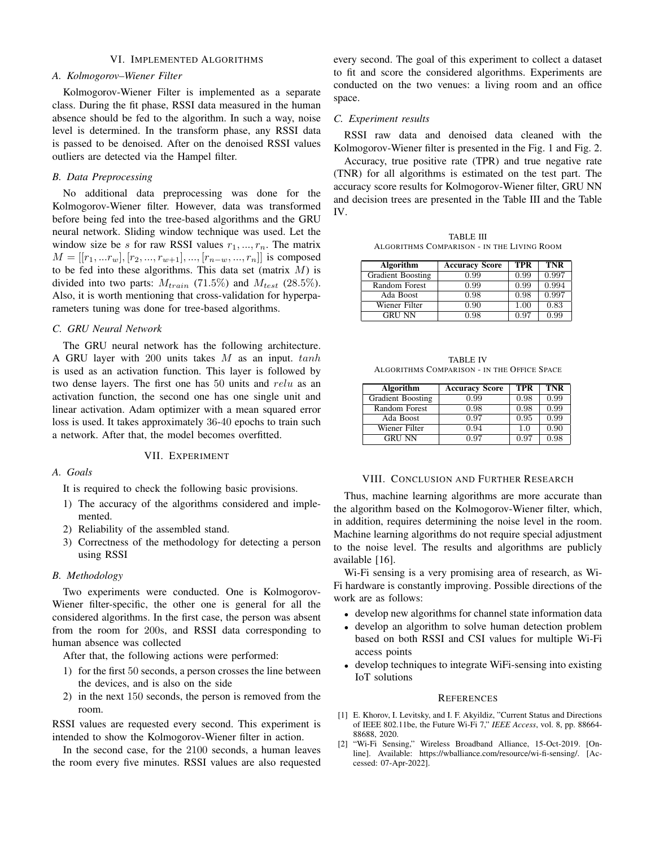## VI. IMPLEMENTED ALGORITHMS

## *A. Kolmogorov–Wiener Filter*

Kolmogorov-Wiener Filter is implemented as a separate class. During the fit phase, RSSI data measured in the human absence should be fed to the algorithm. In such a way, noise level is determined. In the transform phase, any RSSI data is passed to be denoised. After on the denoised RSSI values outliers are detected via the Hampel filter.

## *B. Data Preprocessing*

No additional data preprocessing was done for the Kolmogorov-Wiener filter. However, data was transformed before being fed into the tree-based algorithms and the GRU neural network. Sliding window technique was used. Let the window size be s for raw RSSI values  $r_1, ..., r_n$ . The matrix  $M = [[r_1, ... r_w], [r_2, ..., r_{w+1}], ..., [r_{n-w}, ..., r_n]]$  is composed to be fed into these algorithms. This data set (matrix  $M$ ) is divided into two parts:  $M_{train}$  (71.5%) and  $M_{test}$  (28.5%). Also, it is worth mentioning that cross-validation for hyperparameters tuning was done for tree-based algorithms.

## *C. GRU Neural Network*

The GRU neural network has the following architecture. A GRU layer with 200 units takes  $M$  as an input.  $tanh$ is used as an activation function. This layer is followed by two dense layers. The first one has  $50$  units and  $relu$  as an activation function, the second one has one single unit and linear activation. Adam optimizer with a mean squared error loss is used. It takes approximately 36-40 epochs to train such a network. After that, the model becomes overfitted.

## VII. EXPERIMENT

## *A. Goals*

It is required to check the following basic provisions.

- 1) The accuracy of the algorithms considered and implemented.
- 2) Reliability of the assembled stand.
- 3) Correctness of the methodology for detecting a person using RSSI

## *B. Methodology*

Two experiments were conducted. One is Kolmogorov-Wiener filter-specific, the other one is general for all the considered algorithms. In the first case, the person was absent from the room for 200s, and RSSI data corresponding to human absence was collected

After that, the following actions were performed:

- 1) for the first 50 seconds, a person crosses the line between the devices, and is also on the side
- 2) in the next 150 seconds, the person is removed from the room.

RSSI values are requested every second. This experiment is intended to show the Kolmogorov-Wiener filter in action.

In the second case, for the 2100 seconds, a human leaves the room every five minutes. RSSI values are also requested every second. The goal of this experiment to collect a dataset to fit and score the considered algorithms. Experiments are conducted on the two venues: a living room and an office space.

## *C. Experiment results*

RSSI raw data and denoised data cleaned with the Kolmogorov-Wiener filter is presented in the Fig. 1 and Fig. 2.

Accuracy, true positive rate (TPR) and true negative rate (TNR) for all algorithms is estimated on the test part. The accuracy score results for Kolmogorov-Wiener filter, GRU NN and decision trees are presented in the Table III and the Table IV.

TABLE III ALGORITHMS COMPARISON - IN THE LIVING ROOM

| Algorithm                | <b>Accuracy Score</b> | TPR  | <b>TNR</b> |
|--------------------------|-----------------------|------|------------|
| <b>Gradient Boosting</b> | 0.99                  | 0.99 | 0.997      |
| Random Forest            | 0.99                  | 0.99 | 0.994      |
| Ada Boost                | 0.98                  | 0.98 | 0.997      |
| Wiener Filter            | 0.90                  | 1.00 | 0.83       |
| <b>GRU NN</b>            | 0.98                  | 0.97 | 0.99       |

| <b>TABLE IV</b>                             |  |  |  |
|---------------------------------------------|--|--|--|
| ALGORITHMS COMPARISON - IN THE OFFICE SPACE |  |  |  |

| Algorithm                | <b>Accuracy Score</b> | <b>TPR</b> | <b>TNR</b> |
|--------------------------|-----------------------|------------|------------|
| <b>Gradient Boosting</b> | 0.99                  | 0.98       | 0.99       |
| Random Forest            | 0.98                  | 0.98       | 0.99       |
| Ada Boost                | 0.97                  | 0.95       | 0.99       |
| Wiener Filter            | 0.94                  | 1.0        | 0.90       |
| <b>GRU NN</b>            | 0.97                  | 0.97       | 0.98       |

#### VIII. CONCLUSION AND FURTHER RESEARCH

Thus, machine learning algorithms are more accurate than the algorithm based on the Kolmogorov-Wiener filter, which, in addition, requires determining the noise level in the room. Machine learning algorithms do not require special adjustment to the noise level. The results and algorithms are publicly available [16].

Wi-Fi sensing is a very promising area of research, as Wi-Fi hardware is constantly improving. Possible directions of the work are as follows:

- develop new algorithms for channel state information data
- develop an algorithm to solve human detection problem based on both RSSI and CSI values for multiple Wi-Fi access points
- develop techniques to integrate WiFi-sensing into existing IoT solutions

#### **REFERENCES**

- [1] E. Khorov, I. Levitsky, and I. F. Akyildiz, "Current Status and Directions of IEEE 802.11be, the Future Wi-Fi 7," *IEEE Access*, vol. 8, pp. 88664- 88688, 2020.<br>"Wi-Fi Sensing,"
- [2] "Wi-Fi Sensing," Wireless Broadband Alliance, 15-Oct-2019. [Online]. Available: https://wballiance.com/resource/wi-fi-sensing/. [Accessed: 07-Apr-2022].